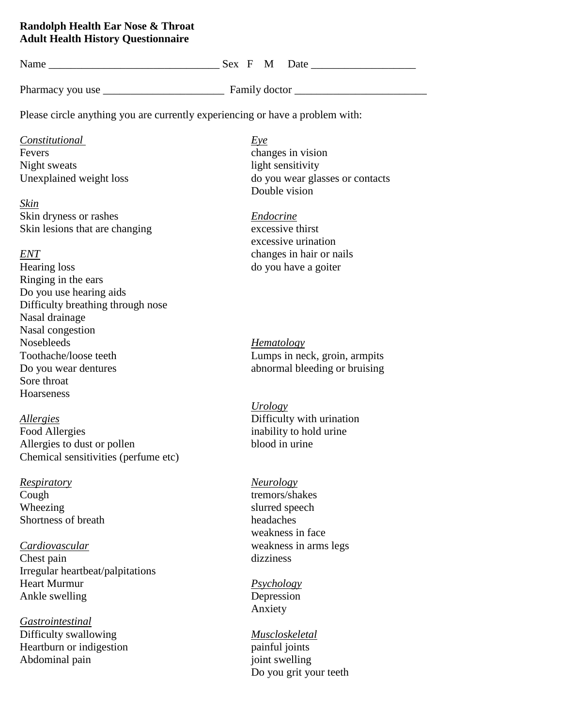## **Randolph Health Ear Nose & Throat Adult Health History Questionnaire**

| Name                                                                          | Sex F M Date                    |
|-------------------------------------------------------------------------------|---------------------------------|
|                                                                               |                                 |
| Please circle anything you are currently experiencing or have a problem with: |                                 |
| <i>Constitutional</i><br>Fevers                                               | <u>Eye</u><br>changes in vision |

Night sweats light sensitivity

*Skin* Skin dryness or rashes *Endocrine* Skin lesions that are changing excessive thirst

Hearing loss do you have a goiter Ringing in the ears Do you use hearing aids Difficulty breathing through nose Nasal drainage Nasal congestion Nosebleeds *Hematology* Toothache/loose teeth Lumps in neck, groin, armpits Do you wear dentures abnormal bleeding or bruising Sore throat Hoarseness

*Allergies* Difficulty with urination Food Allergies inability to hold urine Allergies to dust or pollen blood in urine Chemical sensitivities (perfume etc)

*Respiratory Neurology* Cough tremors/shakes Wheezing slurred speech Shortness of breath headaches

*Cardiovascular* weakness in arms legs Chest pain dizziness Irregular heartbeat/palpitations Heart Murmur *Psychology* Ankle swelling Depression

*Gastrointestinal* Difficulty swallowing *Muscloskeletal* Heartburn or indigestion painful joints Abdominal pain joint swelling

Unexplained weight loss do you wear glasses or contacts Double vision

excessive urination *ENT* changes in hair or nails

*Urology*

weakness in face

Anxiety

Do you grit your teeth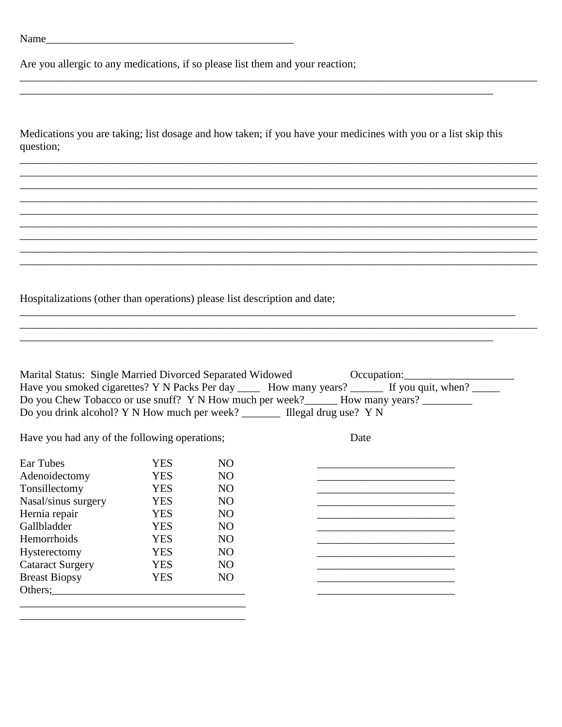Are you allergic to any medications, if so please list them and your reaction;

| Medications you are taking; list dosage and how taken; if you have your medicines with you or a list skip this |  |  |  |
|----------------------------------------------------------------------------------------------------------------|--|--|--|
| question;                                                                                                      |  |  |  |

<u> 1980 - Johann John Stone, mars eta biztanleria (h. 1980).</u>

Hospitalizations (other than operations) please list description and date;

|                                               |            |                 | Marital Status: Single Married Divorced Separated Widowed Cocupation: Communication Control of Marital Status<br>Have you smoked cigarettes? Y N Packs Per day _____ How many years? ______ If you quit, when? _____<br>Do you Chew Tobacco or use snuff? Y N How much per week? _______ How many years? __________<br>Do you drink alcohol? Y N How much per week? ________ Illegal drug use? Y N |
|-----------------------------------------------|------------|-----------------|----------------------------------------------------------------------------------------------------------------------------------------------------------------------------------------------------------------------------------------------------------------------------------------------------------------------------------------------------------------------------------------------------|
|                                               |            |                 |                                                                                                                                                                                                                                                                                                                                                                                                    |
| Have you had any of the following operations; |            |                 | Date                                                                                                                                                                                                                                                                                                                                                                                               |
|                                               |            |                 |                                                                                                                                                                                                                                                                                                                                                                                                    |
| Ear Tubes                                     | YES.       | NO.             |                                                                                                                                                                                                                                                                                                                                                                                                    |
| Adenoidectomy                                 | <b>YES</b> | NO.             |                                                                                                                                                                                                                                                                                                                                                                                                    |
| Tonsillectomy                                 | <b>YES</b> | NO.             |                                                                                                                                                                                                                                                                                                                                                                                                    |
| Nasal/sinus surgery                           | <b>YES</b> | NO <sub>1</sub> |                                                                                                                                                                                                                                                                                                                                                                                                    |
| Hernia repair                                 | <b>YES</b> | NO.             |                                                                                                                                                                                                                                                                                                                                                                                                    |
| Gallbladder                                   | <b>YES</b> | NO.             |                                                                                                                                                                                                                                                                                                                                                                                                    |
| Hemorrhoids                                   | <b>YES</b> | NO.             |                                                                                                                                                                                                                                                                                                                                                                                                    |
| Hysterectomy                                  | <b>YES</b> | NO <sub>1</sub> |                                                                                                                                                                                                                                                                                                                                                                                                    |
| <b>Cataract Surgery</b>                       | <b>YES</b> | NO.             |                                                                                                                                                                                                                                                                                                                                                                                                    |
| <b>Breast Biopsy</b>                          | <b>YES</b> | NO.             |                                                                                                                                                                                                                                                                                                                                                                                                    |
|                                               |            |                 |                                                                                                                                                                                                                                                                                                                                                                                                    |